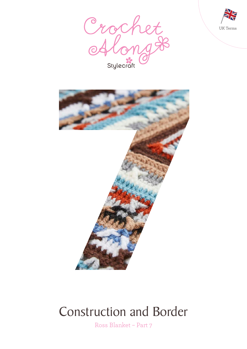





# Construction and Border

Ross Blanket – Part 7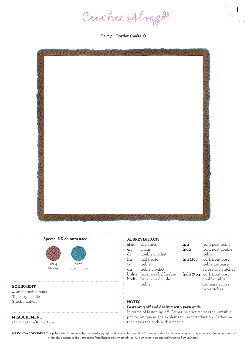Crochet Along &

**Part 7 – Border (make 1)**



# **Special DK colours used:**



Mocha



#### **EQUIPMENT**

4.5mm crochet hook Tapestry needle Stitch markers

# **MEASUREMENT**

41cm x 41cm/16in x 16in

#### **ABBREVIATIONS**

| sl st | slip stitch                        | $_{\rm fptr}$ |
|-------|------------------------------------|---------------|
| ch    | chain                              | fpdti         |
| dc    | double crochet                     |               |
| htr   | half treble                        | fptr2         |
| tr    | treble                             |               |
| dtr   | treble crochet                     |               |
|       | <b>bphtr</b> back post half treble | fpdti         |
|       | <b>bpdtr</b> back post double      |               |
|       | treble                             |               |
|       |                                    |               |

front post treble front post double treble **fptr2tog** work front post treble decrease across two stitches **fatog** work front post double treble decrease across two stitches

1

# **NOTES:**

## **Fastening off and dealing with yarn ends**

In terms of fastening off, Catherine always uses the invisible join technique as she explains in her introduction. Catherine then sews the ends with a needle.

**WARNING – COPYRIGHT** This publication is protected by the law of copyright and may not be reproduced or copied either by photocopying or in any other way. Commercial use of either the patterns or the items made from them is strictly prohibited. All other rights are expressly reserved by Stylecraft.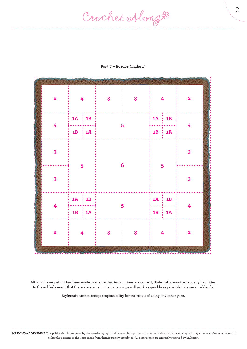Crochet Along #

| $\mathbf{2}$            | $\frac{4}{1}$        |                      | $\mathbf{3}$   | $\overline{\mathbf{3}}$ | $\overline{4}$            |                        | $\overline{\mathbf{2}}$ |
|-------------------------|----------------------|----------------------|----------------|-------------------------|---------------------------|------------------------|-------------------------|
|                         | $1\overline{A}$ : 1B |                      | 5              |                         | $1\overline{A}$ : 1B<br>. |                        |                         |
| $\overline{4}$          |                      | $1B$ : $1A$          |                |                         |                           | $1B$   $1\overline{A}$ | $\overline{4}$          |
| 3                       | 5                    |                      |                |                         | 5                         |                        | 3                       |
| 3                       |                      |                      | $6\phantom{a}$ |                         |                           |                        | 3                       |
| $\overline{4}$          |                      | $1\overline{A}$   1B | 5              |                         | .                         | $1A \nvert 1B$         | $\overline{4}$          |
|                         |                      | $1B$ : $1A$          |                |                         |                           | $1B$ : $1\overline{A}$ |                         |
| $\overline{\mathbf{2}}$ | $\overline{4}$       |                      | $\mathbf{3}$   | 3                       | 4                         |                        | $\overline{\mathbf{2}}$ |

# **Part 7 – Border (make 1)**

**Although every effort has been made to ensure that instructions are correct, Stylecraft cannot accept any liabilities. In the unlikely event that there are errors in the patterns we will work as quickly as possible to issue an addenda.**

**Stylecraft cannot accept responsibility for the result of using any other yarn.**

2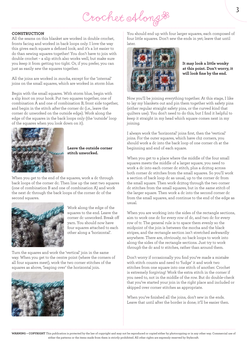Crochet Along &

## **CONSTRUCTION**

All the seams on this blanket are worked in double crochet, fronts facing and worked in back loops only. I love the way this gives each square a defined look, and it's a lot easier to do than sewing squares together! You don't have to join with double crochet – a slip stitch also works well, but make sure you keep it from getting too tight. Or, if you prefer, you can just as easily sew the squares together.

All the joins are worked in mocha, except for the 'internal' joins on the small squares, which are worked in storm blue.

Begin with the small squares. With storm blue, begin with a slip knot on your hook. Put two squares together, one of combination A and one of combination B, front side together, and begin in the stitch after the corner dc (i.e., leave the corner dc unworked on the outside edge). Work along the edge of the squares in the back loops only (the 'outside' loop of the squares when you look down on it).



 **Leave the outside corner stitch unworked.**

When you get to the end of the squares, work a dc through back loops of the corner dc. Then line up the next two squares (one of combination B and one of combination A) and work the next dc through the back loops of the corner dc of the second squares.



Work along the edge of the squares to the end. Leave the corner dc unworked. Break off yarn. You should now have four squares attached to each other along a 'horizontal'.

Turn the squares and work the 'vertical' join in the same way. When you get to the centre point (where the corners of all four squares meet), work the two corner stitches of the squares as above, 'leaping over' the horizontal join.



You should end up with four larger squares, each composed of four little squares. Don't sew the ends in yet; leave that until later.



 **It may look a little wonky at this point. Don't worry, it will look fine by the end.**

Now you'll be joining everything together. At this stage, I like to lay my blankets out and pin them together with safety pins (either regular straight safety pins, or the curved kind that quilters use). You don't need to do this, but I find it helpful to keep it straight in my head which square comes next in my joining.

I always work the 'horizontal' joins first, then the 'vertical' joins. For the outer squares, which have ch2 corners, you should work a dc into the back loop of one corner ch at the beginning and end of each square.

When you get to a place where the middle of the four small squares meets the middle of a larger square, you need to work a dc into each corner dc stitch, plus a dc2tog across both corner dc stitches from the small squares. So you'll work a section of back loop dc as usual, up to the corner dc from the small square. Then work dc2tog through the two corner dc stitches from the small squares, but in the same stitch of the larger square. Then work a dc into the second corner dc from the small squares, and continue to the end of the edge as usual.

When you are working into the sides of the rectangle sections, aim to work one dc for every row of dc, and two dc for every row of tr. The general rule is to space them evenly so the midpoint of the join is between the mocha and the black stripes, and the rectangle section isn't stretched awkwardly anywhere. There are, obviously, no back loops to work into along the sides of the rectangle sections. Just try to work through the dc and tr stitches, rather than around them.

Don't worry if occasionally you find you've made a mistake with stitch counts and need to 'fudge' it and work two stitches from one square into one stitch of another. Crochet is extremely forgiving! Work the extra stitch in the corner if you need to, not in the middle of the row. But do double-check that you've started your join in the right place and included or skipped over corner stitches as appropriate.

When you've finished all the joins, don't sew in the ends. Leave that until after the border is done; it'll be easier then. 3

**WARNING – COPYRIGHT** This publication is protected by the law of copyright and may not be reproduced or copied either by photocopying or in any other way. Commercial use of either the patterns or the items made from them is strictly prohibited. All other rights are expressly reserved by Stylecraft.